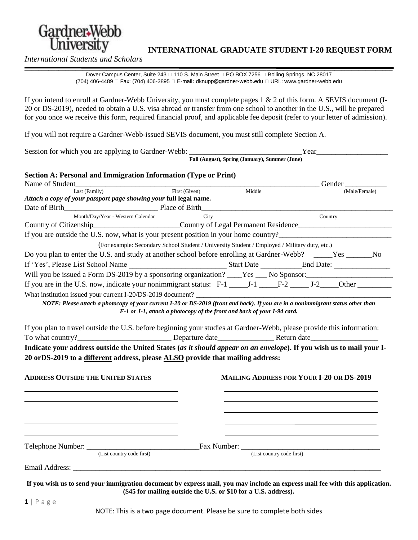

# *<u>INTERNATIONAL GRADUATE STUDENT I-20 REQUEST FORM*</u>

*International Students and Scholars*

*\_\_\_\_\_\_\_\_\_\_\_\_\_\_\_\_\_\_\_\_\_\_\_\_\_\_\_\_\_\_\_\_\_\_\_\_\_\_\_\_\_\_\_\_\_\_\_\_\_\_\_\_\_\_\_\_\_\_\_\_\_\_\_\_\_\_\_\_\_\_\_\_\_\_\_\_\_\_\_\_\_\_\_\_\_\_\_\_\_\_\_\_\_\_\_\_\_\_\_\_\_\_\_\_\_\_\_\_* Dover Campus Center, Suite 243 <sup>110</sup> S. Main Street <sup>1</sup> PO BOX 7256 <sup>1</sup> Boiling Springs, NC 28017 (704) 406-4489 □ Fax: (704) 406-3895 □ E-mail: dknupp@gardner-webb.edu □ URL: www.gardner-webb.edu

If you intend to enroll at Gardner-Webb University, you must complete pages 1 & 2 of this form. A SEVIS document (I-20 or DS-2019), needed to obtain a U.S. visa abroad or transfer from one school to another in the U.S., will be prepared for you once we receive this form, required financial proof, and applicable fee deposit (refer to your letter of admission).

If you will not require a Gardner-Webb-issued SEVIS document, you must still complete Section A.

Session for which you are applying to Gardner-Webb: \_\_\_\_\_\_\_\_\_\_\_\_\_\_\_\_\_\_\_\_\_\_\_\_\_\_\_\_\_\_Year\_\_\_\_\_\_\_\_\_\_\_\_\_\_\_\_\_\_\_

**Fall (August), Spring (January), Summer (June)**

#### **Section A: Personal and Immigration Information (Type or Print)**

| Name of Student                                                                                                                                                                                                                                                                                                                                                                                                                                    |                                                                                               |                                                 |                           | Gender        |  |
|----------------------------------------------------------------------------------------------------------------------------------------------------------------------------------------------------------------------------------------------------------------------------------------------------------------------------------------------------------------------------------------------------------------------------------------------------|-----------------------------------------------------------------------------------------------|-------------------------------------------------|---------------------------|---------------|--|
| Last (Family)                                                                                                                                                                                                                                                                                                                                                                                                                                      | First (Given)                                                                                 | Middle                                          |                           | (Male/Female) |  |
| Attach a copy of your passport page showing your full legal name.                                                                                                                                                                                                                                                                                                                                                                                  |                                                                                               |                                                 |                           |               |  |
|                                                                                                                                                                                                                                                                                                                                                                                                                                                    |                                                                                               |                                                 |                           |               |  |
| Month/Day/Year - Western Calendar<br>Month/Day/Year - Western Calendar City Country of Citizenship Country of Citizenship Country of Country of Legal Permanent Residence Country of Legal Permanent Residence Country of Legal Permanent Residence Country of Lega                                                                                                                                                                                | City                                                                                          |                                                 |                           | Country       |  |
|                                                                                                                                                                                                                                                                                                                                                                                                                                                    |                                                                                               |                                                 |                           |               |  |
| If you are outside the U.S. now, what is your present position in your home country?                                                                                                                                                                                                                                                                                                                                                               |                                                                                               |                                                 |                           |               |  |
|                                                                                                                                                                                                                                                                                                                                                                                                                                                    | (For example: Secondary School Student / University Student / Employed / Military duty, etc.) |                                                 |                           |               |  |
| Do you plan to enter the U.S. and study at another school before enrolling at Gardner-Webb? _____Yes ______No                                                                                                                                                                                                                                                                                                                                      |                                                                                               |                                                 |                           |               |  |
|                                                                                                                                                                                                                                                                                                                                                                                                                                                    |                                                                                               |                                                 |                           |               |  |
| Will you be issued a Form DS-2019 by a sponsoring organization? ____Yes ___ No Sponsor: ______________________                                                                                                                                                                                                                                                                                                                                     |                                                                                               |                                                 |                           |               |  |
|                                                                                                                                                                                                                                                                                                                                                                                                                                                    |                                                                                               |                                                 |                           |               |  |
|                                                                                                                                                                                                                                                                                                                                                                                                                                                    |                                                                                               |                                                 |                           |               |  |
| NOTE: Please attach a photocopy of your current I-20 or DS-2019 (front and back). If you are in a nonimmigrant status other than                                                                                                                                                                                                                                                                                                                   |                                                                                               |                                                 |                           |               |  |
|                                                                                                                                                                                                                                                                                                                                                                                                                                                    | F-1 or J-1, attach a photocopy of the front and back of your I-94 card.                       |                                                 |                           |               |  |
|                                                                                                                                                                                                                                                                                                                                                                                                                                                    |                                                                                               |                                                 |                           |               |  |
|                                                                                                                                                                                                                                                                                                                                                                                                                                                    |                                                                                               |                                                 |                           |               |  |
|                                                                                                                                                                                                                                                                                                                                                                                                                                                    |                                                                                               |                                                 |                           |               |  |
|                                                                                                                                                                                                                                                                                                                                                                                                                                                    |                                                                                               | <b>MAILING ADDRESS FOR YOUR I-20 OR DS-2019</b> |                           |               |  |
|                                                                                                                                                                                                                                                                                                                                                                                                                                                    |                                                                                               |                                                 |                           |               |  |
| If you plan to travel outside the U.S. before beginning your studies at Gardner-Webb, please provide this information:<br>To what country?<br><u>Departure date</u> Return date Return date<br>Indicate your address outside the United States (as it should appear on an envelope). If you wish us to mail your I-<br>20 or DS-2019 to a different address, please ALSO provide that mailing address:<br><b>ADDRESS OUTSIDE THE UNITED STATES</b> |                                                                                               |                                                 |                           |               |  |
|                                                                                                                                                                                                                                                                                                                                                                                                                                                    |                                                                                               |                                                 |                           |               |  |
| (List country code first)                                                                                                                                                                                                                                                                                                                                                                                                                          |                                                                                               |                                                 | (List country code first) |               |  |
|                                                                                                                                                                                                                                                                                                                                                                                                                                                    |                                                                                               |                                                 |                           |               |  |

**(\$45 for mailing outside the U.S. or \$10 for a U.S. address).**